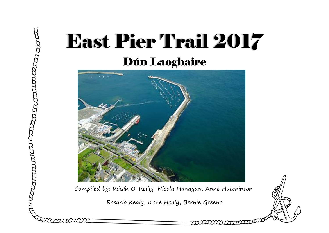# East Pier Trail 2017 Dún Laoghaire



ang managara

Compiled by: Róisín O' Reilly, Nicola Flanagan, Anne Hutchinson,

Rosario Kealy, Irene Healy, Bernie Greene

mmmmm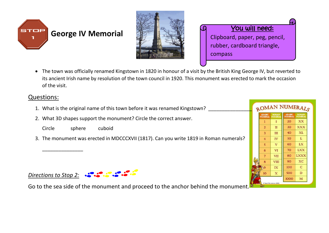





 The town was officially renamed Kingstown in 1820 in honour of a visit by the British King George IV, but reverted to its ancient Irish name by resolution of the town council in 1920. This monument was erected to mark the occasion of the visit.

#### Questions:

- 1. What is the original name of this town before it was renamed Kingstown?
- 2. What 3D shapes support the monument? Circle the correct answer.



\_\_\_\_\_\_\_\_\_\_\_\_\_\_\_

3. The monument was erected in MDCCCXVII (1817). Can you write 1819 in Roman numerals?





Go to the sea side of the monument and proceed to the anchor behind the monument.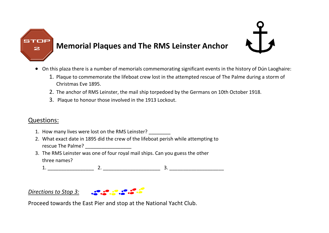

### **Memorial Plaques and The RMS Leinster Anchor**

- On this plaza there is a number of memorials commemorating significant events in the history of Dún Laoghaire:
	- 1. Plaque to commemorate the lifeboat crew lost in the attempted rescue of The Palme during a storm of Christmas Eve 1895.
	- 2. The anchor of RMS Leinster, the mail ship torpedoed by the Germans on 10th October 1918.
	- 3. Plaque to honour those involved in the 1913 Lockout.

### Questions:

- 1. How many lives were lost on the RMS Leinster?
- 2. What exact date in 1895 did the crew of the lifeboat perish while attempting to rescue The Palme?
- 3. The RMS Leinster was one of four royal mail ships. Can you guess the other three names?

1. \_\_\_\_\_\_\_\_\_\_\_\_\_\_\_\_\_ 2. \_\_\_\_\_\_\_\_\_\_\_\_\_\_\_\_\_\_\_\_\_ 3. \_\_\_\_\_\_\_\_\_\_\_\_\_\_\_\_\_\_\_\_

#### *Directions to Stop 3:*



Proceed towards the East Pier and stop at the National Yacht Club.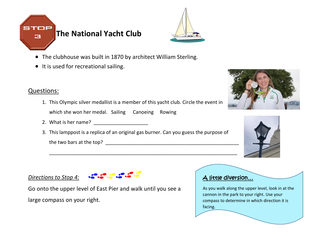



- The clubhouse was built in 1870 by architect William Sterling.
- It is used for recreational sailing.

### Questions:

- 1. This Olympic silver medallist is a member of this yacht club. Circle the event in which she won her medal. Sailing Canoeing Rowing
- 2. What is her name?  $\frac{2}{\sqrt{2}}$
- 3. This lamppost is a replica of an original gas burner. Can you guess the purpose of the two bars at the top?

\_\_\_\_\_\_\_\_\_\_\_\_\_\_\_\_\_\_\_\_\_\_\_\_\_\_\_\_\_\_\_\_\_\_\_\_\_\_\_\_\_\_\_\_\_\_\_\_\_\_\_\_\_\_\_\_\_\_\_\_\_\_\_\_\_\_\_\_\_





#### *Directions to Stop 4:*



Go onto the upper level of East Pier and walk until you see a large compass on your right.

#### A little diversion…

As you walk along the upper level, look in at the cannon in the park to your right. Use your compass to determine in which direction it is facing.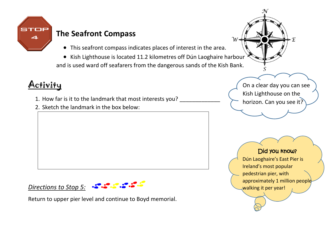

### **The Seafront Compass**

This seafront compass indicates places of interest in the area.

• Kish Lighthouse is located 11.2 kilometres off Dún Laoghaire harbour and is used ward off seafarers from the dangerous sands of the Kish Bank.

# **Activity**

- 1. How far is it to the landmark that most interests you?
- 2. Sketch the landmark in the box below:

# *Directions to Stop 5:*

Return to upper pier level and continue to Boyd memorial.

On a clear day you can see Kish Lighthouse on the horizon. Can you see it?

### Did you know?

Dún Laoghaire's East Pier is Ireland's most popular pedestrian pier, with approximately 1 million people walking it per year!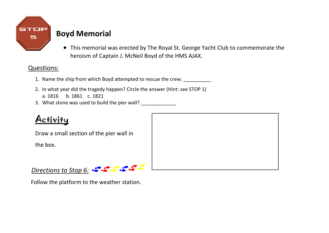

### **Boyd Memorial**

 This memorial was erected by The Royal St. George Yacht Club to commemorate the heroism of Captain J. McNeil Boyd of the HMS AJAX.

### Questions:

- 1. Name the ship from which Boyd attempted to rescue the crew.
- 2. In what year did the tragedy happen? Circle the answer (Hint: see STOP 1) a. 1816 b. 1861 c. 1821
- 3. What stone was used to build the pier wall?

# Activity

Draw a small section of the pier wall in

the box.

*Directions to Stop 6:*

Follow the platform to the weather station.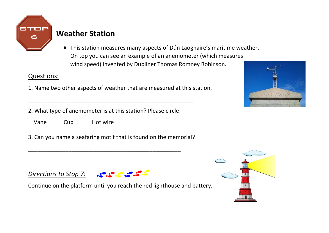

### **Weather Station**

 This station measures many aspects of Dún Laoghaire's maritime weather. On top you can see an example of an anemometer (which measures wind speed) invented by Dubliner Thomas Romney Robinson.

### Questions:

- 1. Name two other aspects of weather that are measured at this station.
- 2. What type of anemometer is at this station? Please circle:

\_\_\_\_\_\_\_\_\_\_\_\_\_\_\_\_\_\_\_\_\_\_\_\_\_\_\_\_\_\_\_\_\_\_\_\_\_\_\_\_\_\_\_\_\_\_\_\_\_

\_\_\_\_\_\_\_\_\_\_\_\_\_\_\_\_\_\_\_\_\_\_\_\_\_\_\_\_\_\_\_\_\_\_\_\_\_\_\_\_\_\_\_\_\_\_\_\_\_\_\_\_\_

- Vane Cup Hot wire
- 3. Can you name a seafaring motif that is found on the memorial?



### *Directions to Stop 7:*



Continue on the platform until you reach the red lighthouse and battery.

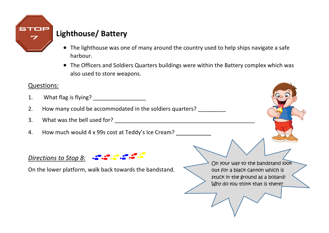

### **Lighthouse/ Battery**

- The lighthouse was one of many around the country used to help ships navigate a safe harbour.
- The Officers and Soldiers Quarters buildings were within the Battery complex which was also used to store weapons.

### Questions:

- 1. What flag is flying? \_\_\_\_\_\_\_\_\_\_\_\_\_\_\_\_\_
- 2. How many could be accommodated in the soldiers quarters?
- 3. What was the bell used for? \_\_\_\_\_\_\_\_\_\_\_\_\_\_\_\_\_\_\_\_\_\_\_\_\_\_\_\_\_\_\_\_\_\_\_\_\_\_\_\_\_\_\_\_\_
- 4. How much would 4 x 99s cost at Teddy's Ice Cream?

#### *Directions to Stop 8:*

On the lower platform, walk back towards the bandstand.

On your way to the bandstand look out for a black cannon which is stuck in the ground as a bollard! Why do you think that is there?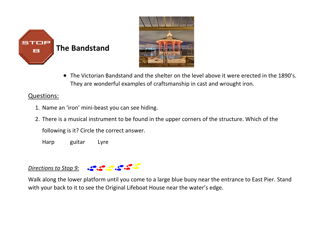



 The Victorian Bandstand and the shelter on the level above it were erected in the 1890's. They are wonderful examples of craftsmanship in cast and wrought iron.

#### Questions:

- 1. Name an 'iron' mini-beast you can see hiding.
- 2. There is a musical instrument to be found in the upper corners of the structure. Which of the

following is it? Circle the correct answer.

Harp guitar Lyre

#### *Directions to Stop 9:*

Walk along the lower platform until you come to a large blue buoy near the entrance to East Pier. Stand with your back to it to see the Original Lifeboat House near the water's edge.